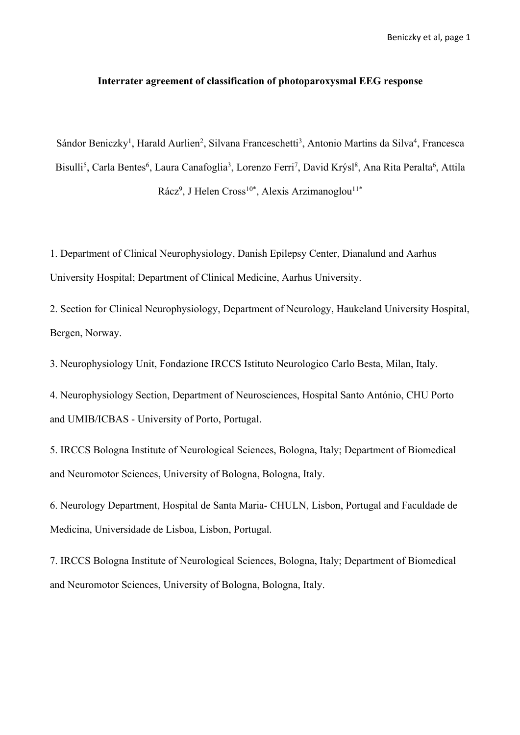### **Interrater agreement of classification of photoparoxysmal EEG response**

Sándor Beniczky<sup>1</sup>, Harald Aurlien<sup>2</sup>, Silvana Franceschetti<sup>3</sup>, Antonio Martins da Silva<sup>4</sup>, Francesca Bisulli<sup>5</sup>, Carla Bentes<sup>6</sup>, Laura Canafoglia<sup>3</sup>, Lorenzo Ferri<sup>7</sup>, David Krýsl<sup>8</sup>, Ana Rita Peralta<sup>6</sup>, Attila Rácz<sup>9</sup>, J Helen Cross<sup>10\*</sup>, Alexis Arzimanoglou<sup>11\*</sup>

1. Department of Clinical Neurophysiology, Danish Epilepsy Center, Dianalund and Aarhus University Hospital; Department of Clinical Medicine, Aarhus University.

2. Section for Clinical Neurophysiology, Department of Neurology, Haukeland University Hospital, Bergen, Norway.

3. Neurophysiology Unit, Fondazione IRCCS Istituto Neurologico Carlo Besta, Milan, Italy.

4. Neurophysiology Section, Department of Neurosciences, Hospital Santo António, CHU Porto and UMIB/ICBAS - University of Porto, Portugal.

5. IRCCS Bologna Institute of Neurological Sciences, Bologna, Italy; Department of Biomedical and Neuromotor Sciences, University of Bologna, Bologna, Italy.

6. Neurology Department, Hospital de Santa Maria- CHULN, Lisbon, Portugal and Faculdade de Medicina, Universidade de Lisboa, Lisbon, Portugal.

7. IRCCS Bologna Institute of Neurological Sciences, Bologna, Italy; Department of Biomedical and Neuromotor Sciences, University of Bologna, Bologna, Italy.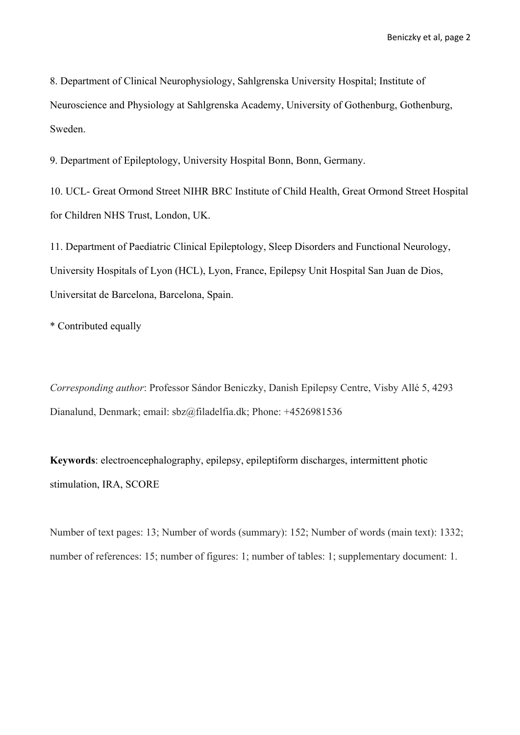8. Department of Clinical Neurophysiology, Sahlgrenska University Hospital; Institute of Neuroscience and Physiology at Sahlgrenska Academy, University of Gothenburg, Gothenburg, Sweden.

9. Department of Epileptology, University Hospital Bonn, Bonn, Germany.

10. UCL- Great Ormond Street NIHR BRC Institute of Child Health, Great Ormond Street Hospital for Children NHS Trust, London, UK.

11. Department of Paediatric Clinical Epileptology, Sleep Disorders and Functional Neurology, University Hospitals of Lyon (HCL), Lyon, France, Epilepsy Unit Hospital San Juan de Dios, Universitat de Barcelona, Barcelona, Spain.

\* Contributed equally

*Corresponding author*: Professor Sándor Beniczky, Danish Epilepsy Centre, Visby Allé 5, 4293 Dianalund, Denmark; email: sbz@filadelfia.dk; Phone: +4526981536

**Keywords**: electroencephalography, epilepsy, epileptiform discharges, intermittent photic stimulation, IRA, SCORE

Number of text pages: 13; Number of words (summary): 152; Number of words (main text): 1332; number of references: 15; number of figures: 1; number of tables: 1; supplementary document: 1.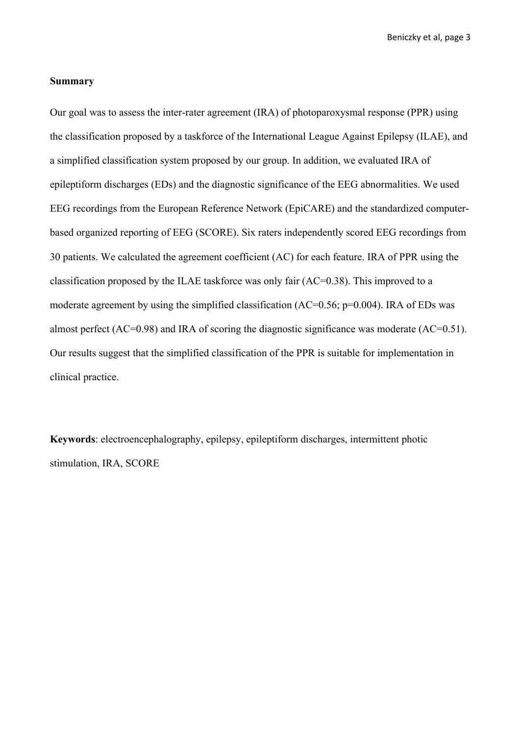### **Summary**

Our goal was to assess the inter-rater agreement (IRA) of photoparoxysmal response (PPR) using the classification proposed by a taskforce of the International League Against Epilepsy (ILAE), and a simplified classification system proposed by our group. In addition, we evaluated IRA of epileptiform discharges (EDs) and the diagnostic significance of the EEG abnormalities. We used EEG recordings from the European Reference Network (EpiCARE) and the standardized computerbased organized reporting of EEG (SCORE). Six raters independently scored EEG recordings from 30 patients. We calculated the agreement coefficient (AC) for each feature. IRA of PPR using the classification proposed by the ILAE taskforce was only fair (AC=0.38). This improved to a moderate agreement by using the simplified classification (AC=0.56; p=0.004). IRA of EDs was almost perfect (AC=0.98) and IRA of scoring the diagnostic significance was moderate (AC=0.51). Our results suggest that the simplified classification of the PPR is suitable for implementation in clinical practice.

**Keywords**: electroencephalography, epilepsy, epileptiform discharges, intermittent photic stimulation, IRA, SCORE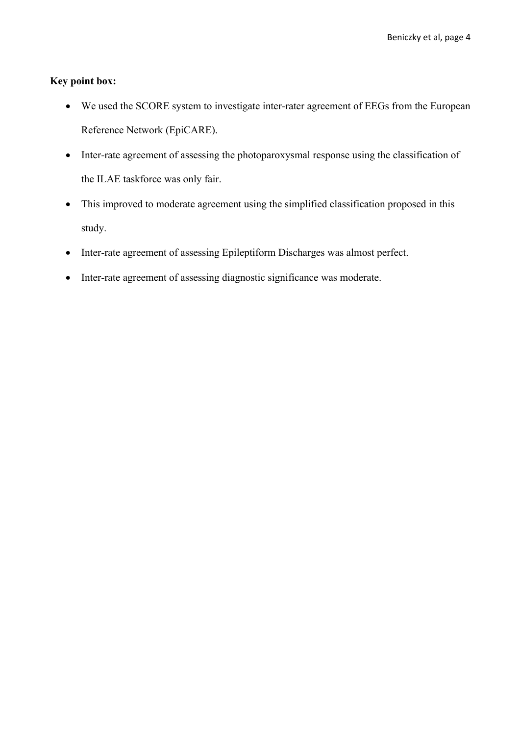# **Key point box:**

- We used the SCORE system to investigate inter-rater agreement of EEGs from the European Reference Network (EpiCARE).
- Inter-rate agreement of assessing the photoparoxysmal response using the classification of the ILAE taskforce was only fair.
- This improved to moderate agreement using the simplified classification proposed in this study.
- Inter-rate agreement of assessing Epileptiform Discharges was almost perfect.
- Inter-rate agreement of assessing diagnostic significance was moderate.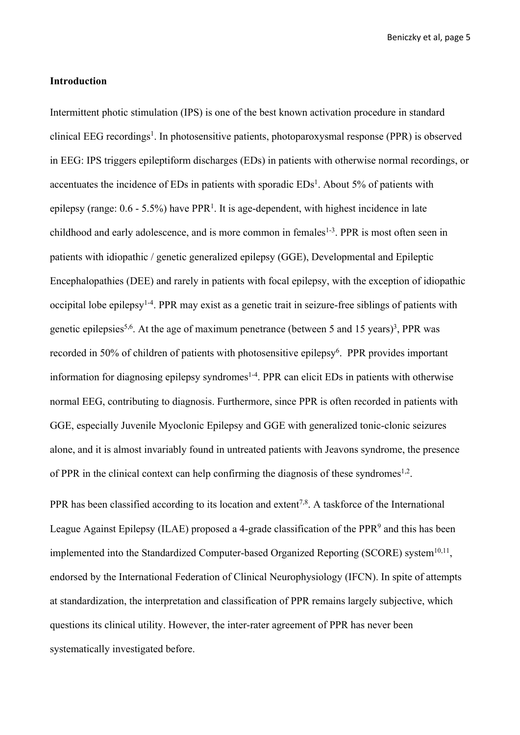#### **Introduction**

Intermittent photic stimulation (IPS) is one of the best known activation procedure in standard clinical EEG recordings<sup>1</sup>. In photosensitive patients, photoparoxysmal response (PPR) is observed in EEG: IPS triggers epileptiform discharges (EDs) in patients with otherwise normal recordings, or accentuates the incidence of EDs in patients with sporadic  $EDs<sup>1</sup>$ . About 5% of patients with epilepsy (range:  $0.6 - 5.5\%$ ) have PPR<sup>1</sup>. It is age-dependent, with highest incidence in late childhood and early adolescence, and is more common in females<sup>1-3</sup>. PPR is most often seen in patients with idiopathic / genetic generalized epilepsy (GGE), Developmental and Epileptic Encephalopathies (DEE) and rarely in patients with focal epilepsy, with the exception of idiopathic occipital lobe epilepsy<sup>1-4</sup>. PPR may exist as a genetic trait in seizure-free siblings of patients with genetic epilepsies<sup>5,6</sup>. At the age of maximum penetrance (between 5 and 15 years)<sup>3</sup>, PPR was recorded in 50% of children of patients with photosensitive epilepsy<sup>6</sup>. PPR provides important information for diagnosing epilepsy syndromes<sup>1-4</sup>. PPR can elicit EDs in patients with otherwise normal EEG, contributing to diagnosis. Furthermore, since PPR is often recorded in patients with GGE, especially Juvenile Myoclonic Epilepsy and GGE with generalized tonic-clonic seizures alone, and it is almost invariably found in untreated patients with Jeavons syndrome, the presence of PPR in the clinical context can help confirming the diagnosis of these syndromes<sup>1,2</sup>.

PPR has been classified according to its location and extent<sup>7,8</sup>. A taskforce of the International League Against Epilepsy (ILAE) proposed a 4-grade classification of the PPR<sup>9</sup> and this has been implemented into the Standardized Computer-based Organized Reporting (SCORE) system $^{10,11}$ , endorsed by the International Federation of Clinical Neurophysiology (IFCN). In spite of attempts at standardization, the interpretation and classification of PPR remains largely subjective, which questions its clinical utility. However, the inter-rater agreement of PPR has never been systematically investigated before.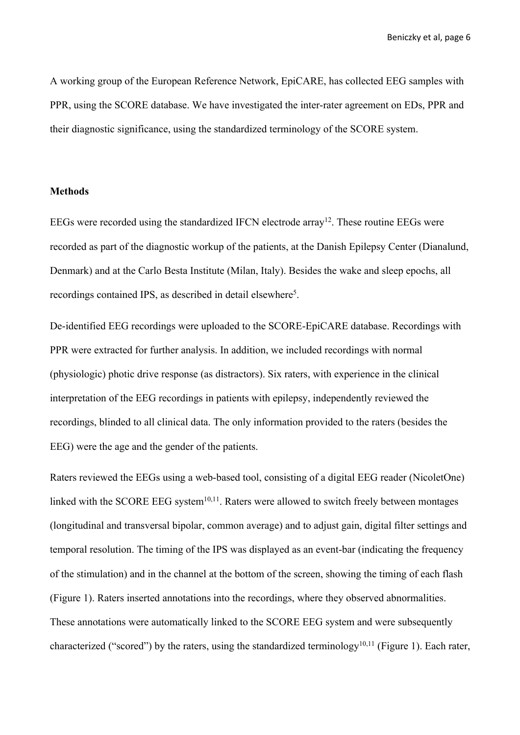A working group of the European Reference Network, EpiCARE, has collected EEG samples with PPR, using the SCORE database. We have investigated the inter-rater agreement on EDs, PPR and their diagnostic significance, using the standardized terminology of the SCORE system.

### **Methods**

EEGs were recorded using the standardized IFCN electrode array<sup>12</sup>. These routine EEGs were recorded as part of the diagnostic workup of the patients, at the Danish Epilepsy Center (Dianalund, Denmark) and at the Carlo Besta Institute (Milan, Italy). Besides the wake and sleep epochs, all recordings contained IPS, as described in detail elsewhere<sup>5</sup>.

De-identified EEG recordings were uploaded to the SCORE-EpiCARE database. Recordings with PPR were extracted for further analysis. In addition, we included recordings with normal (physiologic) photic drive response (as distractors). Six raters, with experience in the clinical interpretation of the EEG recordings in patients with epilepsy, independently reviewed the recordings, blinded to all clinical data. The only information provided to the raters (besides the EEG) were the age and the gender of the patients.

Raters reviewed the EEGs using a web-based tool, consisting of a digital EEG reader (NicoletOne) linked with the SCORE EEG system $10,11$ . Raters were allowed to switch freely between montages (longitudinal and transversal bipolar, common average) and to adjust gain, digital filter settings and temporal resolution. The timing of the IPS was displayed as an event-bar (indicating the frequency of the stimulation) and in the channel at the bottom of the screen, showing the timing of each flash (Figure 1). Raters inserted annotations into the recordings, where they observed abnormalities. These annotations were automatically linked to the SCORE EEG system and were subsequently characterized ("scored") by the raters, using the standardized terminology<sup>10,11</sup> (Figure 1). Each rater,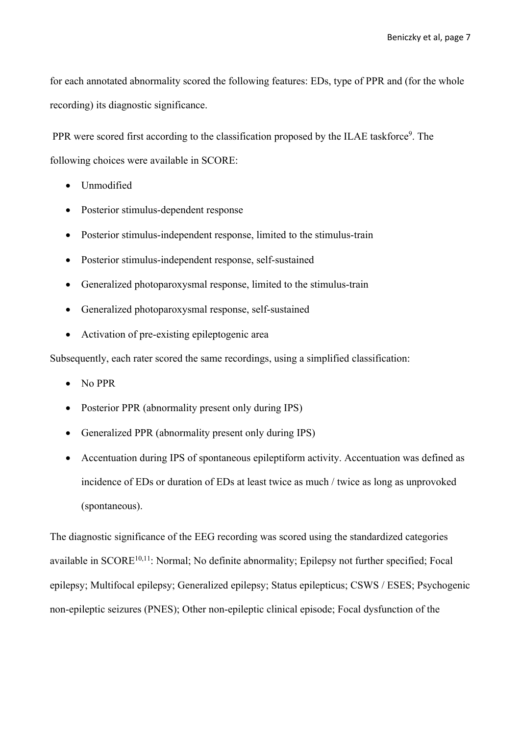for each annotated abnormality scored the following features: EDs, type of PPR and (for the whole recording) its diagnostic significance.

PPR were scored first according to the classification proposed by the ILAE taskforce<sup>9</sup>. The following choices were available in SCORE:

- Unmodified
- Posterior stimulus-dependent response
- Posterior stimulus-independent response, limited to the stimulus-train
- Posterior stimulus-independent response, self-sustained
- Generalized photoparoxysmal response, limited to the stimulus-train
- Generalized photoparoxysmal response, self-sustained
- Activation of pre-existing epileptogenic area

Subsequently, each rater scored the same recordings, using a simplified classification:

- No PPR
- Posterior PPR (abnormality present only during IPS)
- Generalized PPR (abnormality present only during IPS)
- Accentuation during IPS of spontaneous epileptiform activity. Accentuation was defined as incidence of EDs or duration of EDs at least twice as much / twice as long as unprovoked (spontaneous).

The diagnostic significance of the EEG recording was scored using the standardized categories available in SCORE<sup>10,11</sup>: Normal; No definite abnormality; Epilepsy not further specified; Focal epilepsy; Multifocal epilepsy; Generalized epilepsy; Status epilepticus; CSWS / ESES; Psychogenic non-epileptic seizures (PNES); Other non-epileptic clinical episode; Focal dysfunction of the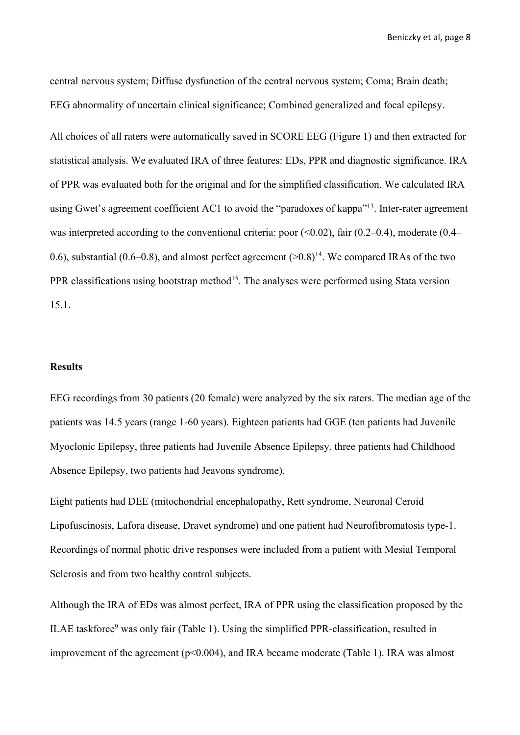central nervous system; Diffuse dysfunction of the central nervous system; Coma; Brain death; EEG abnormality of uncertain clinical significance; Combined generalized and focal epilepsy.

All choices of all raters were automatically saved in SCORE EEG (Figure 1) and then extracted for statistical analysis. We evaluated IRA of three features: EDs, PPR and diagnostic significance. IRA of PPR was evaluated both for the original and for the simplified classification. We calculated IRA using Gwet's agreement coefficient AC1 to avoid the "paradoxes of kappa"<sup>13</sup>. Inter-rater agreement was interpreted according to the conventional criteria: poor  $(0.02)$ , fair  $(0.2-0.4)$ , moderate  $(0.4-0.4)$ 0.6), substantial (0.6–0.8), and almost perfect agreement  $(>0.8)^{14}$ . We compared IRAs of the two PPR classifications using bootstrap method<sup>15</sup>. The analyses were performed using Stata version 15.1.

### **Results**

EEG recordings from 30 patients (20 female) were analyzed by the six raters. The median age of the patients was 14.5 years (range 1-60 years). Eighteen patients had GGE (ten patients had Juvenile Myoclonic Epilepsy, three patients had Juvenile Absence Epilepsy, three patients had Childhood Absence Epilepsy, two patients had Jeavons syndrome).

Eight patients had DEE (mitochondrial encephalopathy, Rett syndrome, Neuronal Ceroid Lipofuscinosis, Lafora disease, Dravet syndrome) and one patient had Neurofibromatosis type-1. Recordings of normal photic drive responses were included from a patient with Mesial Temporal Sclerosis and from two healthy control subjects.

Although the IRA of EDs was almost perfect, IRA of PPR using the classification proposed by the ILAE taskforce9 was only fair (Table 1). Using the simplified PPR-classification, resulted in improvement of the agreement (p<0.004), and IRA became moderate (Table 1). IRA was almost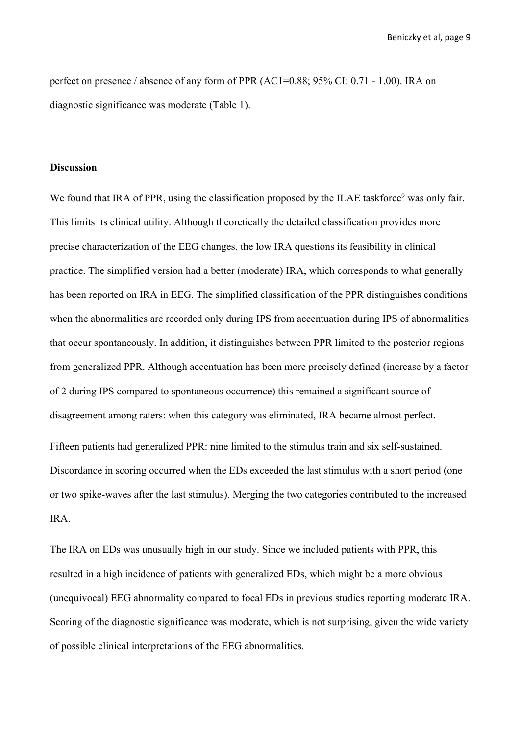perfect on presence / absence of any form of PPR (AC1=0.88; 95% CI: 0.71 - 1.00). IRA on diagnostic significance was moderate (Table 1).

## **Discussion**

We found that IRA of PPR, using the classification proposed by the ILAE taskforce<sup>9</sup> was only fair. This limits its clinical utility. Although theoretically the detailed classification provides more precise characterization of the EEG changes, the low IRA questions its feasibility in clinical practice. The simplified version had a better (moderate) IRA, which corresponds to what generally has been reported on IRA in EEG. The simplified classification of the PPR distinguishes conditions when the abnormalities are recorded only during IPS from accentuation during IPS of abnormalities that occur spontaneously. In addition, it distinguishes between PPR limited to the posterior regions from generalized PPR. Although accentuation has been more precisely defined (increase by a factor of 2 during IPS compared to spontaneous occurrence) this remained a significant source of disagreement among raters: when this category was eliminated, IRA became almost perfect. Fifteen patients had generalized PPR: nine limited to the stimulus train and six self-sustained. Discordance in scoring occurred when the EDs exceeded the last stimulus with a short period (one or two spike-waves after the last stimulus). Merging the two categories contributed to the increased IRA.

The IRA on EDs was unusually high in our study. Since we included patients with PPR, this resulted in a high incidence of patients with generalized EDs, which might be a more obvious (unequivocal) EEG abnormality compared to focal EDs in previous studies reporting moderate IRA. Scoring of the diagnostic significance was moderate, which is not surprising, given the wide variety of possible clinical interpretations of the EEG abnormalities.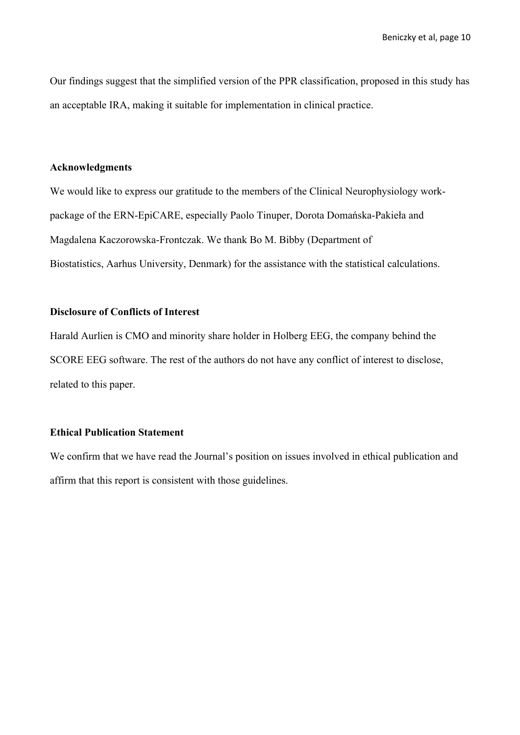Our findings suggest that the simplified version of the PPR classification, proposed in this study has an acceptable IRA, making it suitable for implementation in clinical practice.

### **Acknowledgments**

We would like to express our gratitude to the members of the Clinical Neurophysiology workpackage of the ERN-EpiCARE, especially Paolo Tinuper, Dorota Domańska-Pakieła and Magdalena Kaczorowska-Frontczak. We thank Bo M. Bibby (Department of Biostatistics, Aarhus University, Denmark) for the assistance with the statistical calculations.

# **Disclosure of Conflicts of Interest**

Harald Aurlien is CMO and minority share holder in Holberg EEG, the company behind the SCORE EEG software. The rest of the authors do not have any conflict of interest to disclose, related to this paper.

# **Ethical Publication Statement**

We confirm that we have read the Journal's position on issues involved in ethical publication and affirm that this report is consistent with those guidelines.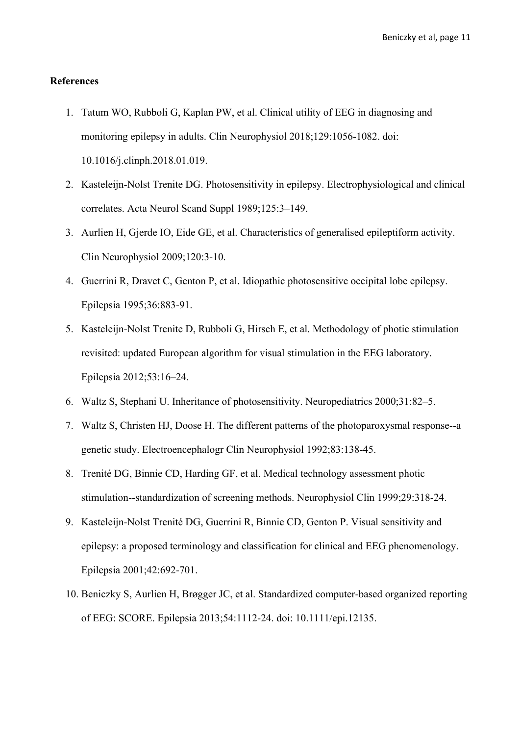### **References**

- 1. Tatum WO, Rubboli G, Kaplan PW, et al. Clinical utility of EEG in diagnosing and monitoring epilepsy in adults. Clin Neurophysiol 2018;129:1056-1082. doi: 10.1016/j.clinph.2018.01.019.
- 2. Kasteleijn-Nolst Trenite DG. Photosensitivity in epilepsy. Electrophysiological and clinical correlates. Acta Neurol Scand Suppl 1989;125:3–149.
- 3. Aurlien H, Gjerde IO, Eide GE, et al. Characteristics of generalised epileptiform activity. Clin Neurophysiol 2009;120:3-10.
- 4. Guerrini R, Dravet C, Genton P, et al. Idiopathic photosensitive occipital lobe epilepsy. Epilepsia 1995;36:883-91.
- 5. Kasteleijn-Nolst Trenite D, Rubboli G, Hirsch E, et al. Methodology of photic stimulation revisited: updated European algorithm for visual stimulation in the EEG laboratory. Epilepsia 2012;53:16–24.
- 6. Waltz S, Stephani U. Inheritance of photosensitivity. Neuropediatrics 2000;31:82–5.
- 7. Waltz S, Christen HJ, Doose H. The different patterns of the photoparoxysmal response--a genetic study. Electroencephalogr Clin Neurophysiol 1992;83:138-45.
- 8. Trenité DG, Binnie CD, Harding GF, et al. Medical technology assessment photic stimulation--standardization of screening methods. Neurophysiol Clin 1999;29:318-24.
- 9. Kasteleijn-Nolst Trenité DG, Guerrini R, Binnie CD, Genton P. Visual sensitivity and epilepsy: a proposed terminology and classification for clinical and EEG phenomenology. Epilepsia 2001;42:692-701.
- 10. Beniczky S, Aurlien H, Brøgger JC, et al. Standardized computer-based organized reporting of EEG: SCORE. Epilepsia 2013;54:1112-24. doi: 10.1111/epi.12135.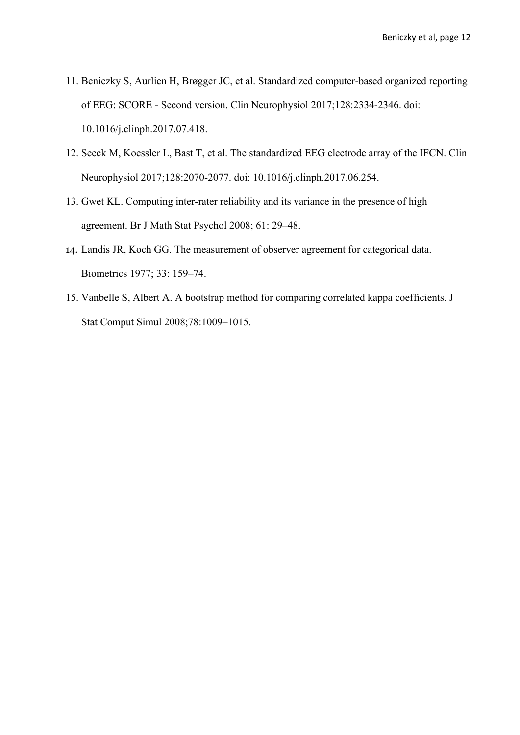- 11. Beniczky S, Aurlien H, Brøgger JC, et al. Standardized computer-based organized reporting of EEG: SCORE - Second version. Clin Neurophysiol 2017;128:2334-2346. doi: 10.1016/j.clinph.2017.07.418.
- 12. Seeck M, Koessler L, Bast T, et al. The standardized EEG electrode array of the IFCN. Clin Neurophysiol 2017;128:2070-2077. doi: 10.1016/j.clinph.2017.06.254.
- 13. Gwet KL. Computing inter-rater reliability and its variance in the presence of high agreement. Br J Math Stat Psychol 2008; 61: 29–48.
- 14. Landis JR, Koch GG. The measurement of observer agreement for categorical data. Biometrics 1977; 33: 159–74.
- 15. Vanbelle S, Albert A. A bootstrap method for comparing correlated kappa coefficients. J Stat Comput Simul 2008;78:1009–1015.